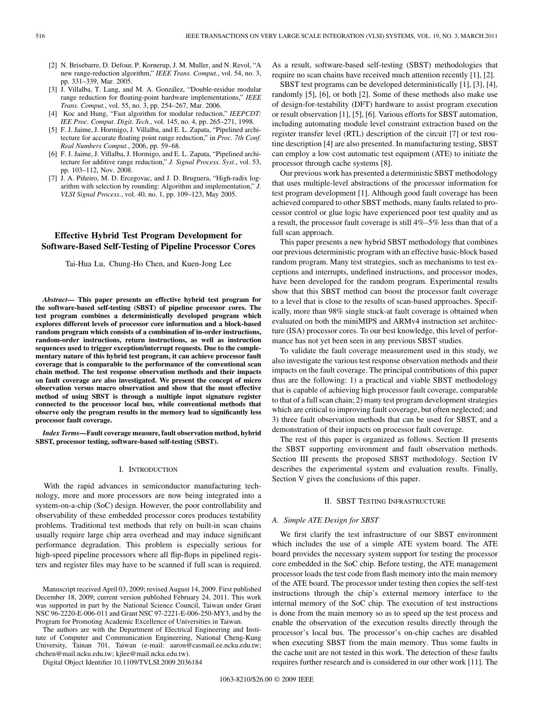- [2] N. Brisebarre, D. Defour, P. Kornerup, J. M. Muller, and N. Revol, "A new range-reduction algorithm," *IEEE Trans. Comput.*, vol. 54, no. 3, pp. 331–339, Mar. 2005.
- [3] J. Villalba, T. Lang, and M. A. González, "Double-residue modular range reduction for floating-point hardware implementations," *IEEE Trans. Comput.*, vol. 55, no. 3, pp. 254–267, Mar. 2006.
- [4] Koc and Hung, "Fast algorithm for modular reduction," *IEEPCDT: IEE Proc. Comput. Digit. Tech.*, vol. 145, no. 4, pp. 265–271, 1998.
- [5] F. J. Jaime, J. Hormigo, J. Villalba, and E. L. Zapata, "Pipelined architecture for accurate floating point range reduction," in *Proc. 7th Conf. Real Numbers Comput.*, 2006, pp. 59–68.
- [6] F. J. Jaime, J. Villalba, J. Hormigo, and E. L. Zapata, "Pipelined architecture for additive range reduction," *J. Signal Process. Syst.*, vol. 53, pp. 103–112, Nov. 2008.
- [7] J. A. Piñeiro, M. D. Ercegovac, and J. D. Bruguera, "High-radix logarithm with selection by rounding: Algorithm and implementation," *J. VLSI Signal Process.*, vol. 40, no. 1, pp. 109–123, May 2005.

# **Effective Hybrid Test Program Development for Software-Based Self-Testing of Pipeline Processor Cores**

Tai-Hua Lu, Chung-Ho Chen, and Kuen-Jong Lee

*Abstract—* **This paper presents an effective hybrid test program for the software-based self-testing (SBST) of pipeline processor cores. The test program combines a deterministically developed program which explores different levels of processor core information and a block-based random program which consists of a combination of in-order instructions, random-order instructions, return instructions, as well as instruction sequences used to trigger exception/interrupt requests. Due to the complementary nature of this hybrid test program, it can achieve processor fault coverage that is comparable to the performance of the conventional scan chain method. The test response observation methods and their impacts on fault coverage are also investigated. We present the concept of micro observation versus macro observation and show that the most effective method of using SBST is through a multiple input signature register connected to the processor local bus, while conventional methods that observe only the program results in the memory lead to significantly less processor fault coverage.**

*Index Terms—***Fault coverage measure, fault observation method, hybrid SBST, processor testing, software-based self-testing (SBST).**

### I. INTRODUCTION

With the rapid advances in semiconductor manufacturing technology, more and more processors are now being integrated into a system-on-a-chip (SoC) design. However, the poor controllability and observability of these embedded processor cores produces testability problems. Traditional test methods that rely on built-in scan chains usually require large chip area overhead and may induce significant performance degradation. This problem is especially serious for high-speed pipeline processors where all flip-flops in pipelined registers and register files may have to be scanned if full scan is required.

The authors are with the Department of Electrical Engineering and Institute of Computer and Communication Engineering, National Cheng-Kung University, Tainan 701, Taiwan (e-mail: aaron@casmail.ee.ncku.edu.tw; chchen@mail.ncku.edu.tw; kjlee@mail.ncku.edu.tw).

Digital Object Identifier 10.1109/TVLSI.2009.2036184

As a result, software-based self-testing (SBST) methodologies that require no scan chains have received much attention recently [1], [2].

SBST test programs can be developed deterministically [1], [3], [4], randomly [5], [6], or both [2]. Some of these methods also make use of design-for-testability (DFT) hardware to assist program execution or result observation [1], [5], [6]. Various efforts for SBST automation, including automating module level constraint extraction based on the register transfer level (RTL) description of the circuit [7] or test routine description [4] are also presented. In manufacturing testing, SBST can employ a low cost automatic test equipment (ATE) to initiate the processor through cache systems [8].

Our previous work has presented a deterministic SBST methodology that uses multiple-level abstractions of the processor information for test program development [1]. Although good fault coverage has been achieved compared to other SBST methods, many faults related to processor control or glue logic have experienced poor test quality and as a result, the processor fault coverage is still 4%–5% less than that of a full scan approach.

This paper presents a new hybrid SBST methodology that combines our previous deterministic program with an effective basic-block based random program. Many test strategies, such as mechanisms to test exceptions and interrupts, undefined instructions, and processor modes, have been developed for the random program. Experimental results show that this SBST method can boost the processor fault coverage to a level that is close to the results of scan-based approaches. Specifically, more than 98% single stuck-at fault coverage is obtained when evaluated on both the miniMIPS and ARMv4 instruction set architecture (ISA) processor cores. To our best knowledge, this level of performance has not yet been seen in any previous SBST studies.

To validate the fault coverage measurement used in this study, we also investigate the various test response observation methods and their impacts on the fault coverage. The principal contributions of this paper thus are the following: 1) a practical and viable SBST methodology that is capable of achieving high processor fault coverage, comparable to that of a full scan chain; 2) many test program development strategies which are critical to improving fault coverage, but often neglected; and 3) three fault observation methods that can be used for SBST, and a demonstration of their impacts on processor fault coverage.

The rest of this paper is organized as follows. Section II presents the SBST supporting environment and fault observation methods. Section III presents the proposed SBST methodology. Section IV describes the experimental system and evaluation results. Finally, Section V gives the conclusions of this paper.

### II. SBST TESTING INFRASTRUCTURE

# *A. Simple ATE Design for SBST*

We first clarify the test infrastructure of our SBST environment which includes the use of a simple ATE system board. The ATE board provides the necessary system support for testing the processor core embedded in the SoC chip. Before testing, the ATE management processor loads the test code from flash memory into the main memory of the ATE board. The processor under testing then copies the self-test instructions through the chip's external memory interface to the internal memory of the SoC chip. The execution of test instructions is done from the main memory so as to speed up the test process and enable the observation of the execution results directly through the processor's local bus. The processor's on-chip caches are disabled when executing SBST from the main memory. Thus some faults in the cache unit are not tested in this work. The detection of these faults requires further research and is considered in our other work [11]. The

Manuscript received April 03, 2009; revised August 14, 2009. First published December 18, 2009; current version published February 24, 2011. This work was supported in part by the National Science Council, Taiwan under Grant NSC 96-2220-E-006-011 and Grant NSC 97-2221-E-006-250-MY3, and by the Program for Promoting Academic Excellence of Universities in Taiwan.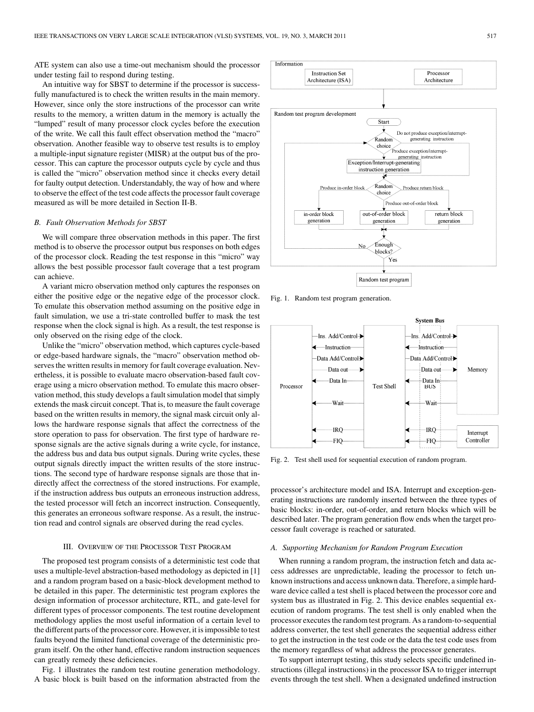ATE system can also use a time-out mechanism should the processor under testing fail to respond during testing.

An intuitive way for SBST to determine if the processor is successfully manufactured is to check the written results in the main memory. However, since only the store instructions of the processor can write results to the memory, a written datum in the memory is actually the "lumped" result of many processor clock cycles before the execution of the write. We call this fault effect observation method the "macro" observation. Another feasible way to observe test results is to employ a multiple-input signature register (MISR) at the output bus of the processor. This can capture the processor outputs cycle by cycle and thus is called the "micro" observation method since it checks every detail for faulty output detection. Understandably, the way of how and where to observe the effect of the test code affects the processor fault coverage measured as will be more detailed in Section II-B.

## *B. Fault Observation Methods for SBST*

We will compare three observation methods in this paper. The first method is to observe the processor output bus responses on both edges of the processor clock. Reading the test response in this "micro" way allows the best possible processor fault coverage that a test program can achieve.

A variant micro observation method only captures the responses on either the positive edge or the negative edge of the processor clock. To emulate this observation method assuming on the positive edge in fault simulation, we use a tri-state controlled buffer to mask the test response when the clock signal is high. As a result, the test response is only observed on the rising edge of the clock.

Unlike the "micro" observation method, which captures cycle-based or edge-based hardware signals, the "macro" observation method observes the written results in memory for fault coverage evaluation. Nevertheless, it is possible to evaluate macro observation-based fault coverage using a micro observation method. To emulate this macro observation method, this study develops a fault simulation model that simply extends the mask circuit concept. That is, to measure the fault coverage based on the written results in memory, the signal mask circuit only allows the hardware response signals that affect the correctness of the store operation to pass for observation. The first type of hardware response signals are the active signals during a write cycle, for instance, the address bus and data bus output signals. During write cycles, these output signals directly impact the written results of the store instructions. The second type of hardware response signals are those that indirectly affect the correctness of the stored instructions. For example, if the instruction address bus outputs an erroneous instruction address, the tested processor will fetch an incorrect instruction. Consequently, this generates an erroneous software response. As a result, the instruction read and control signals are observed during the read cycles.

### III. OVERVIEW OF THE PROCESSOR TEST PROGRAM

The proposed test program consists of a deterministic test code that uses a multiple-level abstraction-based methodology as depicted in [1] and a random program based on a basic-block development method to be detailed in this paper. The deterministic test program explores the design information of processor architecture, RTL, and gate-level for different types of processor components. The test routine development methodology applies the most useful information of a certain level to the different parts of the processor core. However, it is impossible to test faults beyond the limited functional coverage of the deterministic program itself. On the other hand, effective random instruction sequences can greatly remedy these deficiencies.

Fig. 1 illustrates the random test routine generation methodology. A basic block is built based on the information abstracted from the



Fig. 1. Random test program generation.



Fig. 2. Test shell used for sequential execution of random program.

processor's architecture model and ISA. Interrupt and exception-generating instructions are randomly inserted between the three types of basic blocks: in-order, out-of-order, and return blocks which will be described later. The program generation flow ends when the target processor fault coverage is reached or saturated.

## *A. Supporting Mechanism for Random Program Execution*

When running a random program, the instruction fetch and data access addresses are unpredictable, leading the processor to fetch unknown instructions and access unknown data. Therefore, a simple hardware device called a test shell is placed between the processor core and system bus as illustrated in Fig. 2. This device enables sequential execution of random programs. The test shell is only enabled when the processor executes the random test program. As a random-to-sequential address converter, the test shell generates the sequential address either to get the instruction in the test code or the data the test code uses from the memory regardless of what address the processor generates.

To support interrupt testing, this study selects specific undefined instructions (illegal instructions) in the processor ISA to trigger interrupt events through the test shell. When a designated undefined instruction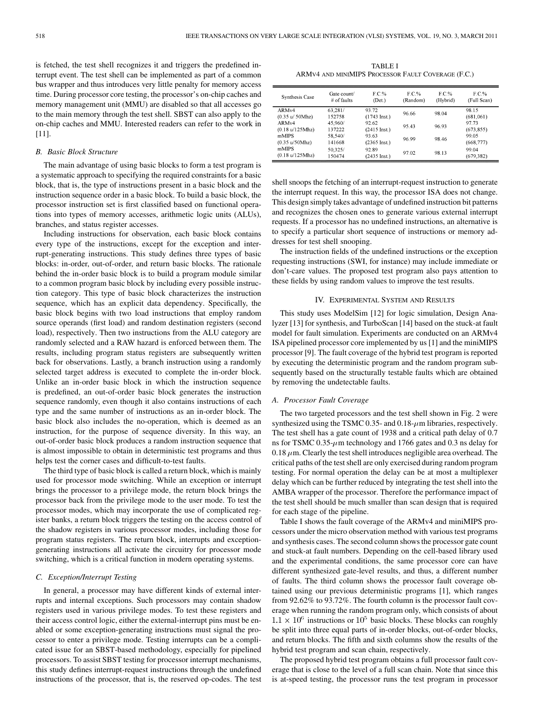is fetched, the test shell recognizes it and triggers the predefined interrupt event. The test shell can be implemented as part of a common bus wrapper and thus introduces very little penalty for memory access time. During processor core testing, the processor's on-chip caches and memory management unit (MMU) are disabled so that all accesses go to the main memory through the test shell. SBST can also apply to the on-chip caches and MMU. Interested readers can refer to the work in [11].

## *B. Basic Block Structure*

The main advantage of using basic blocks to form a test program is a systematic approach to specifying the required constraints for a basic block, that is, the type of instructions present in a basic block and the instruction sequence order in a basic block. To build a basic block, the processor instruction set is first classified based on functional operations into types of memory accesses, arithmetic logic units (ALUs), branches, and status register accesses.

Including instructions for observation, each basic block contains every type of the instructions, except for the exception and interrupt-generating instructions. This study defines three types of basic blocks: in-order, out-of-order, and return basic blocks. The rationale behind the in-order basic block is to build a program module similar to a common program basic block by including every possible instruction category. This type of basic block characterizes the instruction sequence, which has an explicit data dependency. Specifically, the basic block begins with two load instructions that employ random source operands (first load) and random destination registers (second load), respectively. Then two instructions from the ALU category are randomly selected and a RAW hazard is enforced between them. The results, including program status registers are subsequently written back for observations. Lastly, a branch instruction using a randomly selected target address is executed to complete the in-order block. Unlike an in-order basic block in which the instruction sequence is predefined, an out-of-order basic block generates the instruction sequence randomly, even though it also contains instructions of each type and the same number of instructions as an in-order block. The basic block also includes the no-operation, which is deemed as an instruction, for the purpose of sequence diversity. In this way, an out-of-order basic block produces a random instruction sequence that is almost impossible to obtain in deterministic test programs and thus helps test the corner cases and difficult-to-test faults.

The third type of basic block is called a return block, which is mainly used for processor mode switching. While an exception or interrupt brings the processor to a privilege mode, the return block brings the processor back from the privilege mode to the user mode. To test the processor modes, which may incorporate the use of complicated register banks, a return block triggers the testing on the access control of the shadow registers in various processor modes, including those for program status registers. The return block, interrupts and exceptiongenerating instructions all activate the circuitry for processor mode switching, which is a critical function in modern operating systems.

# *C. Exception/Interrupt Testing*

In general, a processor may have different kinds of external interrupts and internal exceptions. Such processors may contain shadow registers used in various privilege modes. To test these registers and their access control logic, either the external-interrupt pins must be enabled or some exception-generating instructions must signal the processor to enter a privilege mode. Testing interrupts can be a complicated issue for an SBST-based methodology, especially for pipelined processors. To assist SBST testing for processor interrupt mechanisms, this study defines interrupt-request instructions through the undefined instructions of the processor, that is, the reserved op-codes. The test

TABLE I ARMV4 AND MINIMIPS PROCESSOR FAULT COVERAGE (F.C.)

| Synthesis Case                                    | Gate count/<br>$#$ of faults | F.C.%<br>(Det.)        | F C %<br>(Random) | $F C \%$<br>(Hybrid) | FC%<br>(Full Scan) |
|---------------------------------------------------|------------------------------|------------------------|-------------------|----------------------|--------------------|
| ARM <sub>v4</sub>                                 | 63,281/                      | 93.72                  | 96.66             | 98.04                | 98.15              |
| $(0.35 \text{ u} / 50 \text{M} \text{hz})$        | 152758                       | $(1743 \text{ Inst.})$ |                   |                      | (681,061)          |
| ARMv4                                             | 45,960/                      | 92.62                  | 95.43             | 96.93                | 97.73              |
| (0.18 u/125 Mhz)                                  | 137222                       | $(2415 \text{ Inst.})$ |                   |                      | (673, 855)         |
| mMIPS                                             | 58,540/                      | 93.63                  | 96 99             | 98 46                | 99.05              |
| $(0.35 \text{ u}/50 \text{M} \text{h} \text{z})$  | 141668                       | $(2365 \text{ Inst.})$ |                   |                      | (668, 777)         |
| mMIPS                                             | 50,325/                      | 92.89                  | 9702              | 98 13                | 99.04              |
| $(0.18 \text{ u}/125 \text{M} \text{h} \text{z})$ | 150474                       | $(2435 \text{ Inst.})$ |                   |                      | (679, 382)         |

shell snoops the fetching of an interrupt-request instruction to generate the interrupt request. In this way, the processor ISA does not change. This design simply takes advantage of undefined instruction bit patterns and recognizes the chosen ones to generate various external interrupt requests. If a processor has no undefined instructions, an alternative is to specify a particular short sequence of instructions or memory addresses for test shell snooping.

The instruction fields of the undefined instructions or the exception requesting instructions (SWI, for instance) may include immediate or don't-care values. The proposed test program also pays attention to these fields by using random values to improve the test results.

## IV. EXPERIMENTAL SYSTEM AND RESULTS

This study uses ModelSim [12] for logic simulation, Design Analyzer [13] for synthesis, and TurboScan [14] based on the stuck-at fault model for fault simulation. Experiments are conducted on an ARMv4 ISA pipelined processor core implemented by us [1] and the miniMIPS processor [9]. The fault coverage of the hybrid test program is reported by executing the deterministic program and the random program subsequently based on the structurally testable faults which are obtained by removing the undetectable faults.

### *A. Processor Fault Coverage*

The two targeted processors and the test shell shown in Fig. 2 were synthesized using the TSMC 0.35- and 0.18- $\mu$ m libraries, respectively. The test shell has a gate count of 1938 and a critical path delay of 0.7 ns for TSMC 0.35- $\mu$ m technology and 1766 gates and 0.3 ns delay for 0.18  $\mu$ m. Clearly the test shell introduces negligible area overhead. The critical paths of the test shell are only exercised during random program testing. For normal operation the delay can be at most a multiplexer delay which can be further reduced by integrating the test shell into the AMBA wrapper of the processor. Therefore the performance impact of the test shell should be much smaller than scan design that is required for each stage of the pipeline.

Table I shows the fault coverage of the ARMv4 and miniMIPS processors under the micro observation method with various test programs and synthesis cases. The second column shows the processor gate count and stuck-at fault numbers. Depending on the cell-based library used and the experimental conditions, the same processor core can have different synthesized gate-level results, and thus, a different number of faults. The third column shows the processor fault coverage obtained using our previous deterministic programs [1], which ranges from 92.62% to 93.72%. The fourth column is the processor fault coverage when running the random program only, which consists of about  $1.1 \times 10^6$  instructions or  $10^5$  basic blocks. These blocks can roughly be split into three equal parts of in-order blocks, out-of-order blocks, and return blocks. The fifth and sixth columns show the results of the hybrid test program and scan chain, respectively.

The proposed hybrid test program obtains a full processor fault coverage that is close to the level of a full scan chain. Note that since this is at-speed testing, the processor runs the test program in processor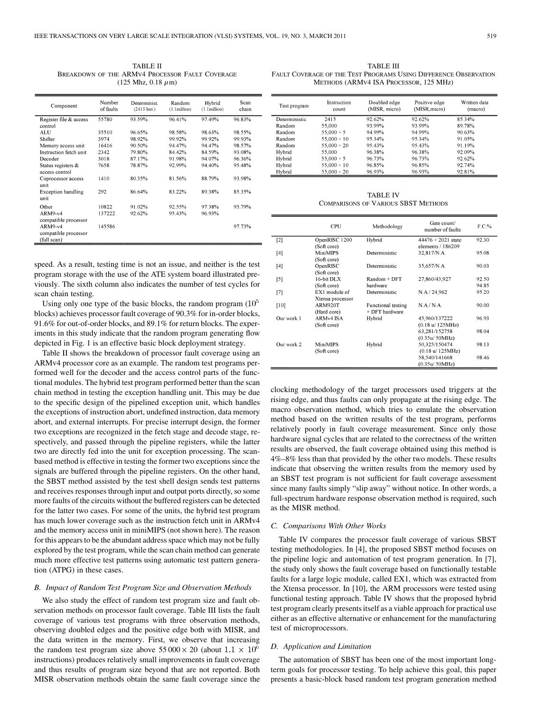TABLE II BREAKDOWN OF THE ARMV4 PROCESSOR FAULT COVERAGE  $(125 \text{ Mhz}, 0.18 \mu \text{m})$ 

| Component                 | Number<br>of faults | Determinist<br>$(2415 \text{ Inst.})$ | Random<br>$(1.1$ million $)$ | Hybrid<br>$(1.1$ million $)$ | Scan<br>chain |
|---------------------------|---------------------|---------------------------------------|------------------------------|------------------------------|---------------|
| Register file & access    | 55780               | 93.59%                                | 96.41%                       | 97.49%                       | 96.83%        |
| control                   |                     |                                       |                              |                              |               |
| <b>ALU</b>                | 35510               | 96.65%                                | 98.58%                       | 98.63%                       | 98.55%        |
| Shifter                   | 3974                | 98.92%                                | 99.92%                       | 99.92%                       | 99.93%        |
| Memory access unit        | 16416               | 90.50%                                | 94.47%                       | 94 47%                       | 98.57%        |
| Instruction fetch unit    | 2342                | 79.80%                                | 84.42%                       | 84.59%                       | 93.08%        |
| Decoder                   | 3018                | 87.17%                                | 91.98%                       | 94.07%                       | 9636%         |
| Status registers &        | 7658                | 78.87%                                | 92.99%                       | 94.40%                       | 95.48%        |
| access control            |                     |                                       |                              |                              |               |
| Coprocessor access        | 1410                | 80.35%                                | 81.56%                       | 88.79%                       | 93.98%        |
| unit                      |                     |                                       |                              |                              |               |
| <b>Exception handling</b> | 292                 | 86.64%                                | 83.22%                       | 89.38%                       | 85.35%        |
| unit                      |                     |                                       |                              |                              |               |
| Other                     | 10822               | 91.02%                                | 92.55%                       | 97.38%                       | 95.79%        |
| $ARM9-v4$                 | 137222              | 92.62%                                | 95.43%                       | 96.93%                       |               |
| compatible processor      |                     |                                       |                              |                              |               |
| $ARM9-v4$                 | 145586              |                                       |                              |                              | 97.73%        |
| compatible processor      |                     |                                       |                              |                              |               |
| (full scan)               |                     |                                       |                              |                              |               |
|                           |                     |                                       |                              |                              |               |

speed. As a result, testing time is not an issue, and neither is the test program storage with the use of the ATE system board illustrated previously. The sixth column also indicates the number of test cycles for scan chain testing.

Using only one type of the basic blocks, the random program  $(10^5)$ blocks) achieves processor fault coverage of 90.3% for in-order blocks, 91.6% for out-of-order blocks, and 89.1% for return blocks. The experiments in this study indicate that the random program generating flow depicted in Fig. 1 is an effective basic block deployment strategy.

Table II shows the breakdown of processor fault coverage using an ARMv4 processor core as an example. The random test programs performed well for the decoder and the access control parts of the functional modules. The hybrid test program performed better than the scan chain method in testing the exception handling unit. This may be due to the specific design of the pipelined exception unit, which handles the exceptions of instruction abort, undefined instruction, data memory abort, and external interrupts. For precise interrupt design, the former two exceptions are recognized in the fetch stage and decode stage, respectively, and passed through the pipeline registers, while the latter two are directly fed into the unit for exception processing. The scanbased method is effective in testing the former two exceptions since the signals are buffered through the pipeline registers. On the other hand, the SBST method assisted by the test shell design sends test patterns and receives responses through input and output ports directly, so some more faults of the circuits without the buffered registers can be detected for the latter two cases. For some of the units, the hybrid test program has much lower coverage such as the instruction fetch unit in ARMv4 and the memory access unit in miniMIPS (not shown here). The reason for this appears to be the abundant address space which may not be fully explored by the test program, while the scan chain method can generate much more effective test patterns using automatic test pattern generation (ATPG) in these cases.

#### *B. Impact of Random Test Program Size and Observation Methods*

We also study the effect of random test program size and fault observation methods on processor fault coverage. Table III lists the fault coverage of various test programs with three observation methods, observing doubled edges and the positive edge both with MISR, and the data written in the memory. First, we observe that increasing the random test program size above  $55\,000 \times 20$  (about  $1.1 \times 10^6$ instructions) produces relatively small improvements in fault coverage and thus results of program size beyond that are not reported. Both MISR observation methods obtain the same fault coverage since the

TABLE III FAULT COVERAGE OF THE TEST PROGRAMS USING DIFFERENCE OBSERVATION METHODS (ARMV4 ISA PROCESSOR, 125 MHz)

| Test program  | Instruction<br>count | Doubled edge<br>(MISR, micro) | Positive edge<br>(MISR, micro) | Written data<br>(macro) |
|---------------|----------------------|-------------------------------|--------------------------------|-------------------------|
| Deterministic | 2415                 | 92.62%                        | 92.62%                         | 85.34%                  |
| Random        | 55,000               | 93.99%                        | 93.99%                         | 89.78%                  |
| Random        | 55,000 $\times$ 5    | 94.99%                        | 94.99%                         | 90.63%                  |
| Random        | $55,000 \times 10$   | 95.34%                        | 95.34%                         | 91.05%                  |
| Random        | 55.000 $\times$ 20   | 95.43%                        | 95.43%                         | 91.19%                  |
| Hybrid        | 55,000               | 96.38%                        | 96.38%                         | 92.09%                  |
| Hybrid        | 55.000 $\times$ 5    | 96.73%                        | 96.73%                         | 92.62%                  |
| Hybrid        | $55,000 \times 10$   | 96.85%                        | 96.85%                         | 92.74%                  |
| Hybrid        | 55,000 $\times$ 20   | 96.93%                        | 96.93%                         | 92.81%                  |

TABLE IV COMPARISONS OF VARIOUS SBST METHODS

|                   | CPU                    | Methodology        | Gate count/<br>number of faults     | F.C.% |
|-------------------|------------------------|--------------------|-------------------------------------|-------|
| $\lceil 2 \rceil$ | OpenRISC 1200          | Hybrid             | $44476 + 2021$ state                | 92.30 |
|                   | (Soft core)            |                    | elements / 186209                   |       |
| [4]               | <b>MiniMIPS</b>        | Deterministic      | 32,817/N.A.                         | 95.08 |
|                   | (Soft core)            |                    |                                     |       |
| [4]               | OpenRISC               | Deterministic      | 35,657/N.A.                         | 90.03 |
|                   | (Soft core)            |                    |                                     |       |
| [5]               | 16-bit $DLX$           | $Random + DFT$     | 27,860/43,927                       | 92.50 |
|                   | (Soft core)            | hardware           |                                     | 94.85 |
| [7]               | EX1 module of          | Deterministic      | N.A./24,962                         | 95.20 |
|                   | Xtensa processor       |                    |                                     |       |
| [10]              | ARM920T                | Functional testing | NA/NA                               | 90.00 |
|                   | (Hard core)            | + DFT hardware     |                                     |       |
| Our work 1        | ARM <sub>v</sub> 4 ISA | Hybrid             | 45.960/137222                       | 96.93 |
|                   | (Soft core)            |                    | $(0.18 \text{ u} / 125 \text{MHz})$ |       |
|                   |                        |                    | 63,281/152758                       | 98.04 |
|                   |                        |                    | (0.35u/50MHz)                       |       |
| Our work 2        | MiniMIPS               | Hybrid             | 50,325/150474                       | 98 13 |
|                   | (Soft core)            |                    | $(0.18 \text{ u} / 125 \text{MHz})$ |       |
|                   |                        |                    | 58,540/141668                       | 98 46 |
|                   |                        |                    | (0.35u/50MHz)                       |       |

clocking methodology of the target processors used triggers at the rising edge, and thus faults can only propagate at the rising edge. The macro observation method, which tries to emulate the observation method based on the written results of the test program, performs relatively poorly in fault coverage measurement. Since only those hardware signal cycles that are related to the correctness of the written results are observed, the fault coverage obtained using this method is 4%–8% less than that provided by the other two models. These results indicate that observing the written results from the memory used by an SBST test program is not sufficient for fault coverage assessment since many faults simply "slip away" without notice. In other words, a full-spectrum hardware response observation method is required, such as the MISR method.

#### *C. Comparisons With Other Works*

Table IV compares the processor fault coverage of various SBST testing methodologies. In [4], the proposed SBST method focuses on the pipeline logic and automation of test program generation. In [7], the study only shows the fault coverage based on functionally testable faults for a large logic module, called EX1, which was extracted from the Xtensa processor. In [10], the ARM processors were tested using functional testing approach. Table IV shows that the proposed hybrid test program clearly presents itself as a viable approach for practical use either as an effective alternative or enhancement for the manufacturing test of microprocessors.

# *D. Application and Limitation*

The automation of SBST has been one of the most important longterm goals for processor testing. To help achieve this goal, this paper presents a basic-block based random test program generation method